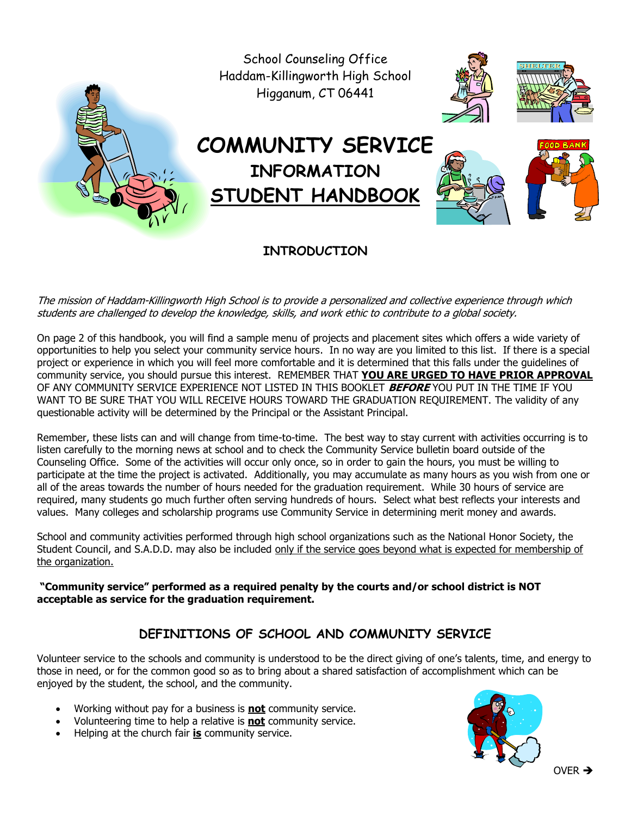School Counseling Office Haddam-Killingworth High School Higganum, CT 06441 **COMMUNITY SERVICE INFORMATION STUDENT HANDBOOK**

**INTRODUCTION**

The mission of Haddam-Killingworth High School is to provide a personalized and collective experience through which students are challenged to develop the knowledge, skills, and work ethic to contribute to a global society.

On page 2 of this handbook, you will find a sample menu of projects and placement sites which offers a wide variety of opportunities to help you select your community service hours. In no way are you limited to this list. If there is a special project or experience in which you will feel more comfortable and it is determined that this falls under the guidelines of community service, you should pursue this interest. REMEMBER THAT **YOU ARE URGED TO HAVE PRIOR APPROVAL** OF ANY COMMUNITY SERVICE EXPERIENCE NOT LISTED IN THIS BOOKLET **BEFORE** YOU PUT IN THE TIME IF YOU WANT TO BE SURE THAT YOU WILL RECEIVE HOURS TOWARD THE GRADUATION REQUIREMENT. The validity of any questionable activity will be determined by the Principal or the Assistant Principal.

Remember, these lists can and will change from time-to-time. The best way to stay current with activities occurring is to listen carefully to the morning news at school and to check the Community Service bulletin board outside of the Counseling Office. Some of the activities will occur only once, so in order to gain the hours, you must be willing to participate at the time the project is activated. Additionally, you may accumulate as many hours as you wish from one or all of the areas towards the number of hours needed for the graduation requirement. While 30 hours of service are required, many students go much further often serving hundreds of hours. Select what best reflects your interests and values. Many colleges and scholarship programs use Community Service in determining merit money and awards.

School and community activities performed through high school organizations such as the National Honor Society, the Student Council, and S.A.D.D. may also be included only if the service goes beyond what is expected for membership of the organization.

**"Community service" performed as a required penalty by the courts and/or school district is NOT acceptable as service for the graduation requirement.**

### **DEFINITIONS OF SCHOOL AND COMMUNITY SERVICE**

Volunteer service to the schools and community is understood to be the direct giving of one's talents, time, and energy to those in need, or for the common good so as to bring about a shared satisfaction of accomplishment which can be enjoyed by the student, the school, and the community.

- Working without pay for a business is **not** community service.
- Volunteering time to help a relative is **not** community service.
- Helping at the church fair **is** community service.